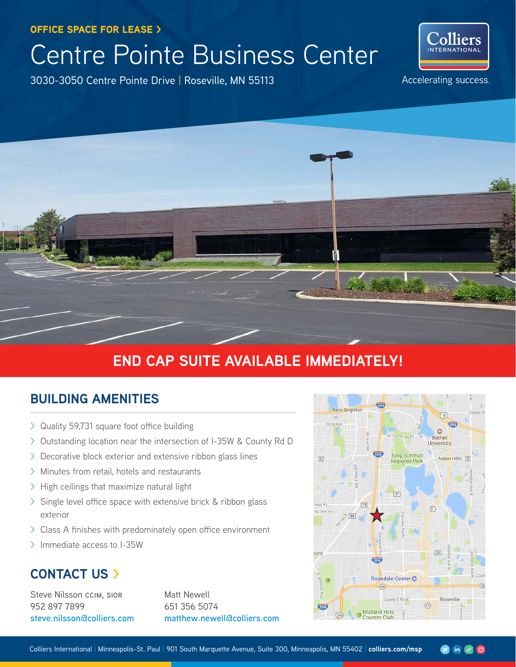OFFICE SPACE FOR LEASE >

# Centre Pointe Business Center

3030-3050 Centre Pointe Drive | Roseville, MN 55113



Accelerating success.



## **END CAP SUITE AVAILABLE IMMEDIATELY!**

## **BUILDING AMENITIES**

- > Quality 59,731 square foot office building
- > Outstanding location near the intersection of I-35W & County Rd D
- > Decorative block exterior and extensive ribbon glass lines
- > Minutes from retail, hotels and restaurants
- > High ceilings that maximize natural light
- > Single level office space with extensive brick & ribbon glass exterior
- > Class A finishes with predominately open office environment
- > Immediate access to I-35W

## **CONTACT US >**

Steve Nilsson ccim, sior 952 897 7899 **steve.nilsson@colliers.com** Matt Newell 651 356 5074 **matthew.newell@colliers.com**

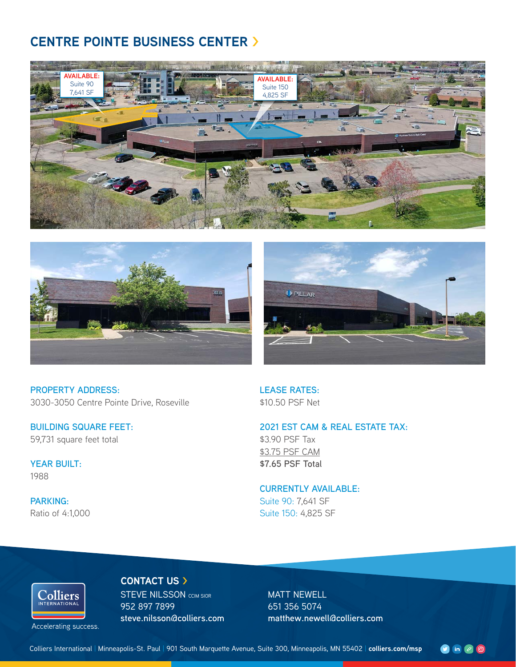## **CENTRE POINTE BUSINESS CENTER >**







**PROPERTY ADDRESS:** 3030-3050 Centre Pointe Drive, Roseville

**BUILDING SQUARE FEET:** 59,731 square feet total

**YEAR BUILT:** 1988

**PARKING:** Ratio of 4:1,000 **LEASE RATES:** \$10.50 PSF Net

#### **2021 EST CAM & REAL ESTATE TAX:**

\$3.90 PSF Tax \$3.75 PSF CAM **\$7.65 PSF Total** 

#### **CURRENTLY AVAILABLE:**

Suite 90: 7,641 SF Suite 150: 4,825 SF

# Colliers

Accelerating success.

STEVE NILSSON CCIM SIOR 952 897 7899 **steve.nilsson@colliers.com**

**CONTACT US >**

MATT NEWELL 651 356 5074 **matthew.newell@colliers.com**

 $\bullet$  in  $\bullet$   $\bullet$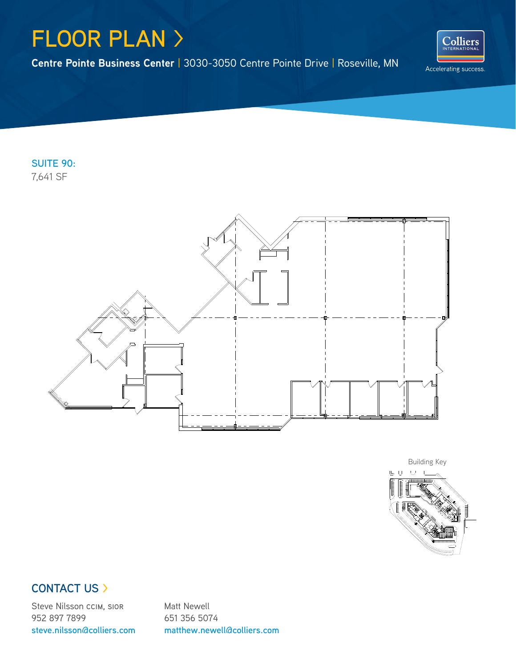## **FLOOR PLAN** >

**Centre Pointe Business Center** | 3030-3050 Centre Pointe Drive | Roseville, MN



**SUITE 90:** 7,641 SF





### **CONTACT US >**

Steve Nilsson ccim, sior 952 897 7899 **steve.nilsson@colliers.com** Matt Newell 651 356 5074 **matthew.newell@colliers.com**